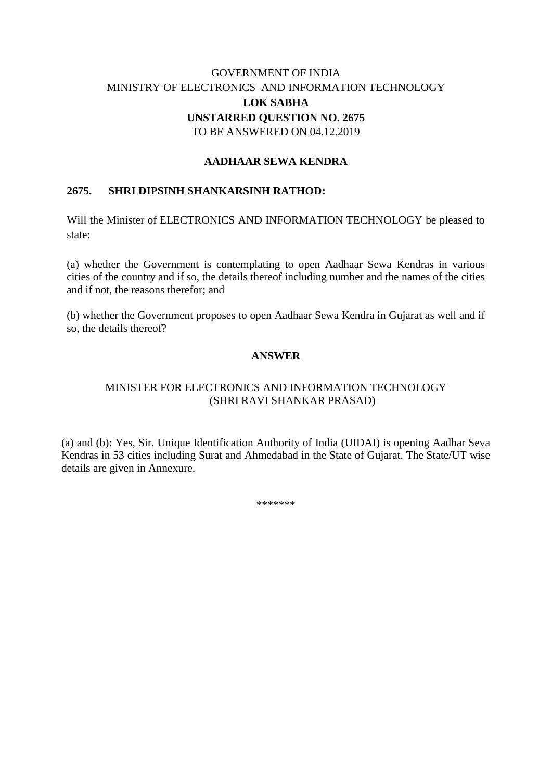# GOVERNMENT OF INDIA MINISTRY OF ELECTRONICS AND INFORMATION TECHNOLOGY **LOK SABHA UNSTARRED QUESTION NO. 2675** TO BE ANSWERED ON 04.12.2019

## **AADHAAR SEWA KENDRA**

#### **2675. SHRI DIPSINH SHANKARSINH RATHOD:**

Will the Minister of ELECTRONICS AND INFORMATION TECHNOLOGY be pleased to state:

(a) whether the Government is contemplating to open Aadhaar Sewa Kendras in various cities of the country and if so, the details thereof including number and the names of the cities and if not, the reasons therefor; and

(b) whether the Government proposes to open Aadhaar Sewa Kendra in Gujarat as well and if so, the details thereof?

#### **ANSWER**

## MINISTER FOR ELECTRONICS AND INFORMATION TECHNOLOGY (SHRI RAVI SHANKAR PRASAD)

(a) and (b): Yes, Sir. Unique Identification Authority of India (UIDAI) is opening Aadhar Seva Kendras in 53 cities including Surat and Ahmedabad in the State of Gujarat. The State/UT wise details are given in Annexure.

\*\*\*\*\*\*\*